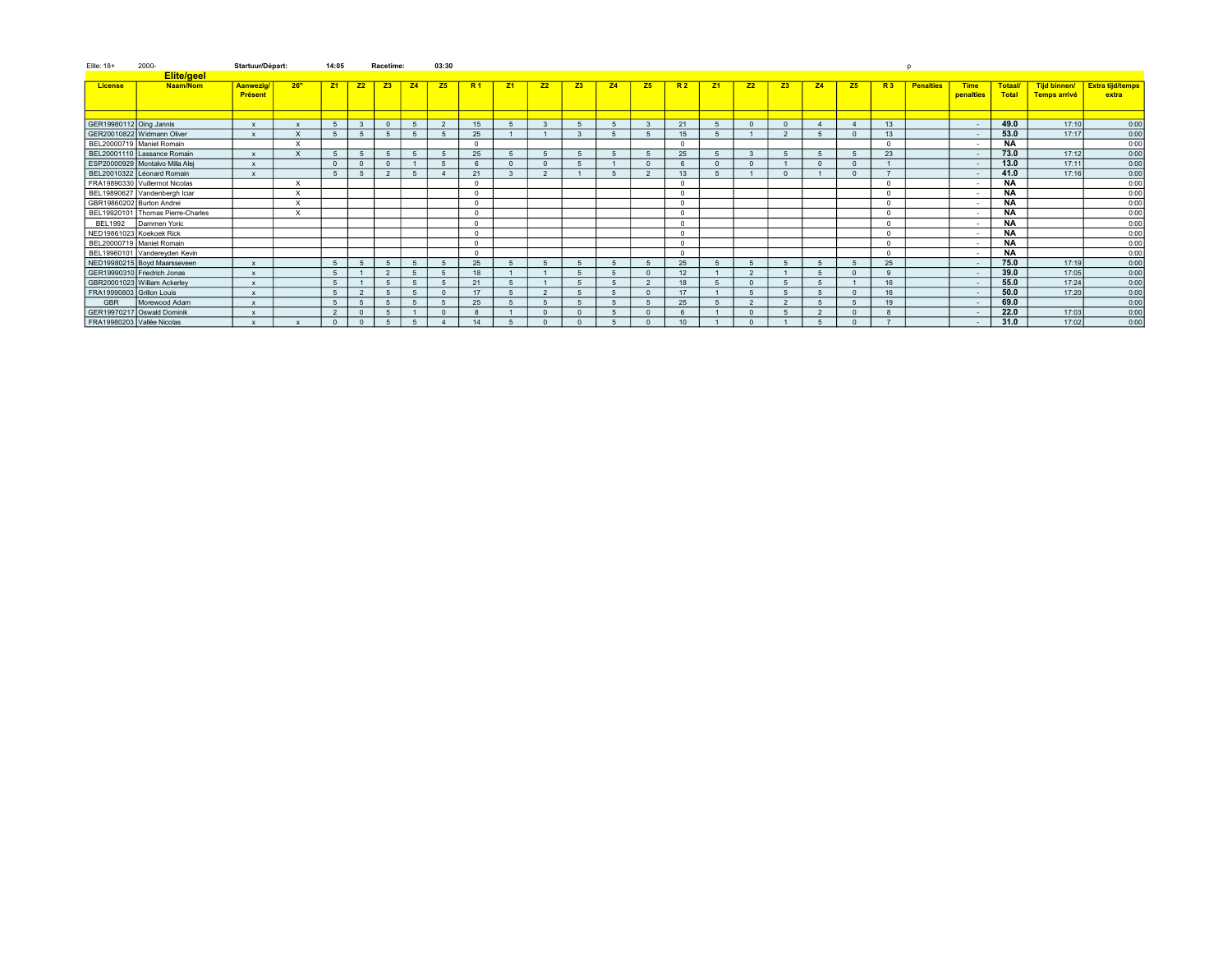| Elite: 18+                | 2000-                             | Startuur/Départ:     |              | 14:05           | Racetime:      |                |                | 03:30                    |                |              |                |    |    |    |                 |           |                |        |    |           |                |                  |                          |                                |                                     |                                  |
|---------------------------|-----------------------------------|----------------------|--------------|-----------------|----------------|----------------|----------------|--------------------------|----------------|--------------|----------------|----|----|----|-----------------|-----------|----------------|--------|----|-----------|----------------|------------------|--------------------------|--------------------------------|-------------------------------------|----------------------------------|
| <b>Elite/geel</b>         |                                   |                      |              |                 |                |                |                |                          |                |              |                |    |    |    |                 |           |                |        |    |           |                |                  |                          |                                |                                     |                                  |
| <b>License</b>            | <b>Naam/Nom</b>                   | Aanwezig/<br>Présent | 26"          |                 | Z <sub>2</sub> | Z3             | Z <sub>4</sub> | Z5                       | R <sub>1</sub> | <b>Z1</b>    | Z <sub>2</sub> | Z3 | Z4 | Z5 | R <sub>2</sub>  | <b>Z1</b> | Z <sub>2</sub> | Z3     | Z4 | <b>Z5</b> | R <sub>3</sub> | <b>Penalties</b> | Time<br><b>penalties</b> | <b>Totaal/</b><br><b>Total</b> | Tijd binnen/<br><b>Temps arrivé</b> | <b>Extra tijd/temps</b><br>extra |
|                           |                                   |                      |              |                 |                |                |                |                          |                |              |                |    |    |    |                 |           |                |        |    |           |                |                  |                          |                                |                                     |                                  |
| GER19980112 Oing Jannis   |                                   | $\mathbf{x}$         | $\mathbf{x}$ |                 | $\mathbf{r}$   | $\Omega$       |                | $\overline{\phantom{a}}$ | 15             |              |                |    |    |    | 21              |           | $\sim$         |        |    |           | 13             |                  | $\overline{\phantom{a}}$ | 49.0                           | 17:10                               | 0:00                             |
|                           | GER20010822 Widmann Oliver        |                      |              |                 |                |                |                |                          | 25             |              |                |    |    |    | 15              |           |                | $\sim$ |    |           | 13             |                  |                          | 53.0                           | 17:17                               | 0:00                             |
|                           | BEL20000719 Maniet Romain         |                      | X            |                 |                |                |                |                          |                |              |                |    |    |    | $\Omega$        |           |                |        |    |           | $\Omega$       |                  | $\sim$                   | <b>NA</b>                      |                                     | 0:00                             |
|                           | BEL20001110 Lassance Romain       |                      | $\times$     |                 |                |                |                |                          | 25             |              |                |    |    |    | 25              |           |                |        |    |           | 23             |                  | $\overline{\phantom{a}}$ | 73.0                           | 17:12                               | 0:00                             |
|                           | ESP20000929 Montalvo Milla Alej   |                      |              | $\Omega$        |                |                |                |                          |                | $\sim$       | $\Omega$       |    |    |    | 6               | $\Omega$  | $\sim$         |        |    |           |                |                  |                          | 13.0                           | 17:11                               | 0:00                             |
|                           | BEL20010322 Léonard Romain        |                      |              | $5\overline{5}$ |                | $\overline{2}$ |                |                          | 21             | $\mathbf{R}$ |                |    |    |    | 13              |           |                |        |    |           |                |                  |                          | 41.0                           | 17:16                               | 0:00                             |
|                           | FRA19890330 Vuillermot Nicolas    |                      | $\times$     |                 |                |                |                |                          |                |              |                |    |    |    | $\Omega$        |           |                |        |    |           | $\Omega$       |                  |                          | <b>NA</b>                      |                                     | 0:00                             |
|                           | BEL19890627 Vandenbergh Iciar     |                      | X            |                 |                |                |                |                          |                |              |                |    |    |    | $\Omega$        |           |                |        |    |           | $\Omega$       |                  |                          | <b>NA</b>                      |                                     | 0:00                             |
|                           | GBR19860202 Burton Andrei         |                      | X            |                 |                |                |                |                          |                |              |                |    |    |    | $\mathbf{0}$    |           |                |        |    |           | $\Omega$       |                  |                          | <b>NA</b>                      |                                     | 0:00                             |
|                           | BEL19920101 Thomas Pierre-Charles |                      | $\times$     |                 |                |                |                |                          |                |              |                |    |    |    | $\mathbf{0}$    |           |                |        |    |           | $\Omega$       |                  |                          | <b>NA</b>                      |                                     | 0:00                             |
| <b>BEL1992</b>            | Dammen Yoric                      |                      |              |                 |                |                |                |                          |                |              |                |    |    |    | $\mathbf{0}$    |           |                |        |    |           | $\Omega$       |                  |                          | <b>NA</b>                      |                                     | 0:00                             |
|                           | NED19861023 Koekoek Rick          |                      |              |                 |                |                |                |                          |                |              |                |    |    |    | $\Omega$        |           |                |        |    |           | $\Omega$       |                  |                          | <b>NA</b>                      |                                     | 0:00                             |
|                           | BEL20000719 Maniet Romain         |                      |              |                 |                |                |                |                          |                |              |                |    |    |    | $\circ$         |           |                |        |    |           | $\Omega$       |                  | $\sim$                   | <b>NA</b>                      |                                     | 0:00                             |
|                           | BEL19960101 Vandereyden Kevin     |                      |              |                 |                |                |                |                          |                |              |                |    |    |    | $\overline{0}$  |           |                |        |    |           | $\Omega$       |                  | $\overline{\phantom{a}}$ | <b>NA</b>                      |                                     | 0:00                             |
|                           | NED19980215 Boyd Maarsseveen      | $\mathbf{x}$         |              |                 |                |                |                |                          | 25             | 5            |                |    |    |    | 25              |           |                |        |    |           | 25             |                  |                          | 75.0                           | 17:19                               | 0:00                             |
|                           | GER19990310 Friedrich Jonas       | $\mathbf{x}$         |              |                 |                | $\overline{2}$ |                |                          | 18             |              |                |    |    |    | 12              |           | $\mathfrak{D}$ |        |    |           |                |                  |                          | 39.0                           | 17:05                               | 0:00                             |
|                           | GBR20001023 William Ackerley      |                      |              | $5\overline{5}$ |                |                |                |                          | 21             |              |                |    |    |    | 18              |           |                |        |    |           | 16             |                  |                          | 55.0                           | 17:24                               | 0:00                             |
| FRA19990803 Grillon Louis |                                   |                      |              | 5               | $\sim$         |                |                |                          |                |              |                |    |    |    | 17              |           |                |        |    |           | 16             |                  | $\sim$                   | 50.0                           | 17:20                               | 0:00                             |
| <b>GBR</b>                | Morewood Adam                     |                      |              | $5\overline{5}$ |                |                |                |                          | 25             |              |                |    |    |    | 25              |           | $\sim$         | $\sim$ |    |           | 19             |                  | $\overline{\phantom{a}}$ | 69.0                           |                                     | 0:00                             |
|                           | GER19970217 Oswald Dominik        |                      |              | $\Omega$        |                |                |                |                          |                |              |                |    |    |    | $\epsilon$      |           | $\sim$         |        |    |           |                |                  |                          | 22.0                           | 17:03                               | 0:00                             |
|                           | FRA19980203 Vallée Nicolas        |                      |              | $\Omega$        | $\Omega$       | 5              |                |                          | 1 <sub>A</sub> |              |                |    |    |    | 10 <sup>1</sup> |           |                |        |    |           |                |                  |                          | 31.0                           | 17:02                               | 0:00                             |